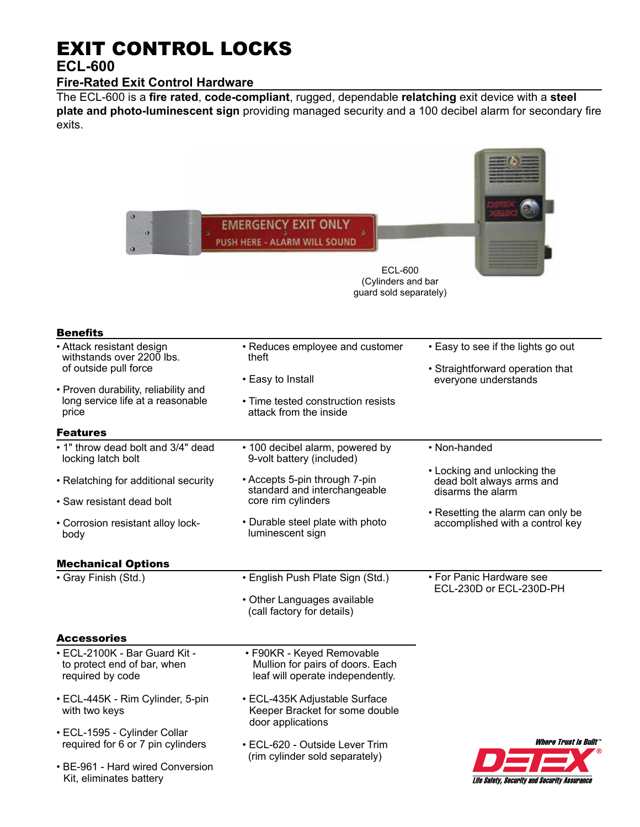# EXIT CONTROL LOCKS

## **ECL-600**

## **Fire-Rated Exit Control Hardware**

The ECL-600 is a **fire rated**, **code-compliant**, rugged, dependable **relatching** exit device with a **steel plate and photo-luminescent sign** providing managed security and a 100 decibel alarm for secondary fire exits.

| $\theta$<br>$\boldsymbol{\Theta}$                                                | <b>EMERGENCY EXIT ONLY</b><br>PUSH HERE - ALARM WILL SOUND<br>ECL-600<br>(Cylinders and bar<br>guard sold separately) |                                                                               |
|----------------------------------------------------------------------------------|-----------------------------------------------------------------------------------------------------------------------|-------------------------------------------------------------------------------|
| <b>Benefits</b>                                                                  |                                                                                                                       |                                                                               |
| • Attack resistant design<br>withstands over 2200 lbs.                           | • Reduces employee and customer<br>theft                                                                              | • Easy to see if the lights go out                                            |
| of outside pull force                                                            | • Easy to Install                                                                                                     | • Straightforward operation that<br>everyone understands                      |
| • Proven durability, reliability and                                             |                                                                                                                       |                                                                               |
| long service life at a reasonable<br>price                                       | • Time tested construction resists<br>attack from the inside                                                          |                                                                               |
| Features                                                                         |                                                                                                                       |                                                                               |
| . 1" throw dead bolt and 3/4" dead<br>locking latch bolt                         | • 100 decibel alarm, powered by<br>9-volt battery (included)                                                          | • Non-handed                                                                  |
| • Relatching for additional security                                             | • Accepts 5-pin through 7-pin<br>standard and interchangeable                                                         | • Locking and unlocking the<br>dead bolt always arms and<br>disarms the alarm |
| • Saw resistant dead bolt                                                        | core rim cylinders                                                                                                    | • Resetting the alarm can only be                                             |
| • Corrosion resistant alloy lock-<br>body                                        | • Durable steel plate with photo<br>luminescent sign                                                                  | accomplished with a control key                                               |
| <b>Mechanical Options</b>                                                        |                                                                                                                       |                                                                               |
| · Gray Finish (Std.)                                                             | • English Push Plate Sign (Std.)                                                                                      | • For Panic Hardware see                                                      |
|                                                                                  | • Other Languages available<br>(call factory for details)                                                             | ECL-230D or ECL-230D-PH                                                       |
| <b>Accessories</b>                                                               |                                                                                                                       |                                                                               |
| • ECL-2100K - Bar Guard Kit -<br>to protect end of bar, when<br>required by code | • F90KR - Keyed Removable<br>Mullion for pairs of doors. Each<br>leaf will operate independently.                     |                                                                               |
| • ECL-445K - Rim Cylinder, 5-pin<br>with two keys                                | • ECL-435K Adjustable Surface<br>Keeper Bracket for some double<br>door applications                                  |                                                                               |
| • ECL-1595 - Cylinder Collar<br>required for 6 or 7 pin cylinders                | • ECL-620 - Outside Lever Trim                                                                                        | <i><b>Where Trust is Built</b></i>                                            |
|                                                                                  | (rim cylinder sold separately)                                                                                        |                                                                               |
| • BE-961 - Hard wired Conversion<br>Kit, eliminates battery                      |                                                                                                                       | Life Safety, Security and Security Assurance                                  |